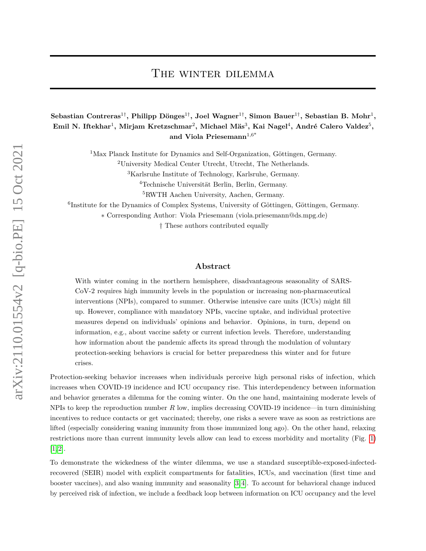# The winter dilemma

 $\mathbf{S}$ ebastian Contreras<sup>1†</sup>, Philipp Dönges<sup>1†</sup>, Joel Wagner<sup>1†</sup>, Simon Bauer<sup>1†</sup>, Sebastian B. Mohr<sup>1</sup>,  $\boldsymbol{\mathrm{Emil}}$  N. Iftekhar<sup>1</sup>, Mirjam Kretzschmar<sup>2</sup>, Michael Mäs $^3$ , Kai Nagel $^4$ , André Calero Valdez $^5,$ **and Viola Priesemann**1,6\*

<sup>1</sup>Max Planck Institute for Dynamics and Self-Organization, Göttingen, Germany.

<sup>2</sup>University Medical Center Utrecht, Utrecht, The Netherlands.

<sup>3</sup>Karlsruhe Institute of Technology, Karlsruhe, Germany.

<sup>4</sup>Technische Universität Berlin, Berlin, Germany.

<sup>5</sup>RWTH Aachen University, Aachen, Germany.

6 Institute for the Dynamics of Complex Systems, University of Göttingen, Göttingen, Germany.

∗ Corresponding Author: Viola Priesemann (viola.priesemann@ds.mpg.de)

† These authors contributed equally

## **Abstract**

With winter coming in the northern hemisphere, disadvantageous seasonality of SARS-CoV-2 requires high immunity levels in the population or increasing non-pharmaceutical interventions (NPIs), compared to summer. Otherwise intensive care units (ICUs) might fill up. However, compliance with mandatory NPIs, vaccine uptake, and individual protective measures depend on individuals' opinions and behavior. Opinions, in turn, depend on information, e.g., about vaccine safety or current infection levels. Therefore, understanding how information about the pandemic affects its spread through the modulation of voluntary protection-seeking behaviors is crucial for better preparedness this winter and for future crises.

Protection-seeking behavior increases when individuals perceive high personal risks of infection, which increases when COVID-19 incidence and ICU occupancy rise. This interdependency between information and behavior generates a dilemma for the coming winter. On the one hand, maintaining moderate levels of NPIs to keep the reproduction number *R* low, implies decreasing COVID-19 incidence—in turn diminishing incentives to reduce contacts or get vaccinated; thereby, one risks a severe wave as soon as restrictions are lifted (especially considering waning immunity from those immunized long ago). On the other hand, relaxing restrictions more than current immunity levels allow can lead to excess morbidity and mortality (Fig. [1\)](#page-1-0) [\[1,](#page-2-0) [2\]](#page-2-1).

To demonstrate the wickedness of the winter dilemma, we use a standard susceptible-exposed-infectedrecovered (SEIR) model with explicit compartments for fatalities, ICUs, and vaccination (first time and booster vaccines), and also waning immunity and seasonality [\[3,](#page-2-2) [4\]](#page-2-3). To account for behavioral change induced by perceived risk of infection, we include a feedback loop between information on ICU occupancy and the level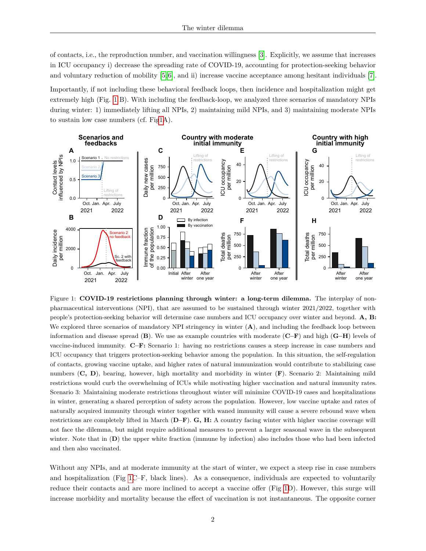of contacts, i.e., the reproduction number, and vaccination willingness [\[3\]](#page-2-2). Explicitly, we assume that increases in ICU occupancy i) decrease the spreading rate of COVID-19, accounting for protection-seeking behavior and voluntary reduction of mobility  $[5, 6]$  $[5, 6]$ , and ii) increase vaccine acceptance among hesitant individuals [\[7\]](#page-3-2). Importantly, if not including these behavioral feedback loops, then incidence and hospitalization might get extremely high (Fig. [1](#page-1-0) B). With including the feedback-loop, we analyzed three scenarios of mandatory NPIs during winter: 1) immediately lifting all NPIs, 2) maintaining mild NPIs, and 3) maintaining moderate NPIs to sustain low case numbers (cf. Fi[g1A](#page-1-0)).

<span id="page-1-0"></span>

Figure 1: **COVID-19 restrictions planning through winter: a long-term dilemma.** The interplay of nonpharmaceutical interventions (NPI), that are assumed to be sustained through winter 2021/2022, together with people's protection-seeking behavior will determine case numbers and ICU occupancy over winter and beyond. **A, B:** We explored three scenarios of mandatory NPI stringency in winter  $(A)$ , and including the feedback loop between information and disease spread (**B**). We use as example countries with moderate (**C–F**) and high (**G–H**) levels of vaccine-induced immunity. **C–F:** Scenario 1: having no restrictions causes a steep increase in case numbers and ICU occupancy that triggers protection-seeking behavior among the population. In this situation, the self-regulation of contacts, growing vaccine uptake, and higher rates of natural immunization would contribute to stabilizing case numbers (**C, D**), bearing, however, high mortality and morbidity in winter (**F**). Scenario 2: Maintaining mild restrictions would curb the overwhelming of ICUs while motivating higher vaccination and natural immunity rates. Scenario 3: Maintaining moderate restrictions throughout winter will minimize COVID-19 cases and hospitalizations in winter, generating a shared perception of safety across the population. However, low vaccine uptake and rates of naturally acquired immunity through winter together with waned immunity will cause a severe rebound wave when restrictions are completely lifted in March (**D–F**). **G, H:** A country facing winter with higher vaccine coverage will not face the dilemma, but might require additional measures to prevent a larger seasonal wave in the subsequent winter. Note that in (D) the upper white fraction (immune by infection) also includes those who had been infected and then also vaccinated.

Without any NPIs, and at moderate immunity at the start of winter, we expect a steep rise in case numbers and hospitalization (Fig [1C](#page-1-0)–F, black lines). As a consequence, individuals are expected to voluntarily reduce their contacts and are more inclined to accept a vaccine offer (Fig [1D](#page-1-0)). However, this surge will increase morbidity and mortality because the effect of vaccination is not instantaneous. The opposite corner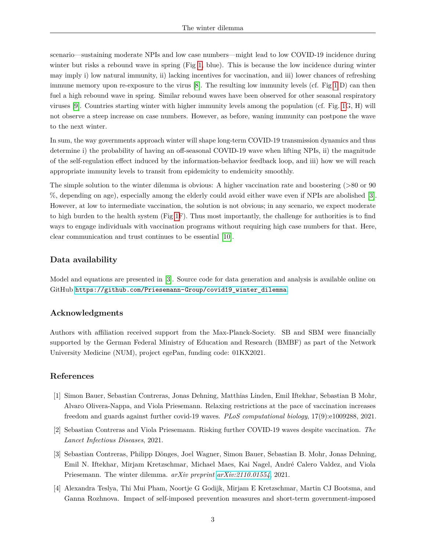scenario—sustaining moderate NPIs and low case numbers—might lead to low COVID-19 incidence during winter but risks a rebound wave in spring (Fig [1,](#page-1-0) blue). This is because the low incidence during winter may imply i) low natural immunity, ii) lacking incentives for vaccination, and iii) lower chances of refreshing immune memory upon re-exposure to the virus [\[8\]](#page-3-3). The resulting low immunity levels (cf. Fig [1](#page-1-0) D) can then fuel a high rebound wave in spring. Similar rebound waves have been observed for other seasonal respiratory viruses [\[9\]](#page-3-4). Countries starting winter with higher immunity levels among the population (cf. Fig. [1G](#page-1-0), H) will not observe a steep increase on case numbers. However, as before, waning immunity can postpone the wave to the next winter.

In sum, the way governments approach winter will shape long-term COVID-19 transmission dynamics and thus determine i) the probability of having an off-seasonal COVID-19 wave when lifting NPIs, ii) the magnitude of the self-regulation effect induced by the information-behavior feedback loop, and iii) how we will reach appropriate immunity levels to transit from epidemicity to endemicity smoothly.

The simple solution to the winter dilemma is obvious: A higher vaccination rate and boostering (>80 or 90 %, depending on age), especially among the elderly could avoid either wave even if NPIs are abolished [\[3\]](#page-2-2). However, at low to intermediate vaccination, the solution is not obvious; in any scenario, we expect moderate to high burden to the health system (Fig [1F](#page-1-0)). Thus most importantly, the challenge for authorities is to find ways to engage individuals with vaccination programs without requiring high case numbers for that. Here, clear communication and trust continues to be essential [\[10\]](#page-3-5).

# **Data availability**

Model and equations are presented in [\[3\]](#page-2-2). Source code for data generation and analysis is available online on GitHub [https://github.com/Priesemann-Group/covid19\\_winter\\_dilemma](https://github.com/Priesemann-Group/covid19_winter_dilemma).

## **Acknowledgments**

Authors with affiliation received support from the Max-Planck-Society. SB and SBM were financially supported by the German Federal Ministry of Education and Research (BMBF) as part of the Network University Medicine (NUM), project egePan, funding code: 01KX2021.

## **References**

- <span id="page-2-0"></span>[1] Simon Bauer, Sebastian Contreras, Jonas Dehning, Matthias Linden, Emil Iftekhar, Sebastian B Mohr, Alvaro Olivera-Nappa, and Viola Priesemann. Relaxing restrictions at the pace of vaccination increases freedom and guards against further covid-19 waves. *PLoS computational biology*, 17(9):e1009288, 2021.
- <span id="page-2-1"></span>[2] Sebastian Contreras and Viola Priesemann. Risking further COVID-19 waves despite vaccination. *The Lancet Infectious Diseases*, 2021.
- <span id="page-2-2"></span>[3] Sebastian Contreras, Philipp Dönges, Joel Wagner, Simon Bauer, Sebastian B. Mohr, Jonas Dehning, Emil N. Iftekhar, Mirjam Kretzschmar, Michael Maes, Kai Nagel, André Calero Valdez, and Viola Priesemann. The winter dilemma. *arXiv preprint [arXiv:2110.01554](http://arxiv.org/abs/2110.01554)*, 2021.
- <span id="page-2-3"></span>[4] Alexandra Teslya, Thi Mui Pham, Noortje G Godijk, Mirjam E Kretzschmar, Martin CJ Bootsma, and Ganna Rozhnova. Impact of self-imposed prevention measures and short-term government-imposed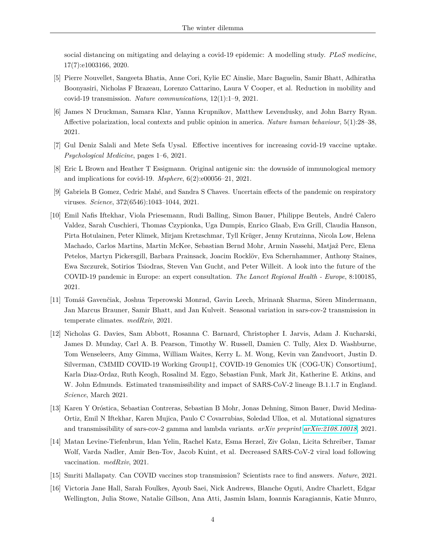social distancing on mitigating and delaying a covid-19 epidemic: A modelling study. *PLoS medicine*, 17(7):e1003166, 2020.

- <span id="page-3-0"></span>[5] Pierre Nouvellet, Sangeeta Bhatia, Anne Cori, Kylie EC Ainslie, Marc Baguelin, Samir Bhatt, Adhiratha Boonyasiri, Nicholas F Brazeau, Lorenzo Cattarino, Laura V Cooper, et al. Reduction in mobility and covid-19 transmission. *Nature communications*, 12(1):1–9, 2021.
- <span id="page-3-1"></span>[6] James N Druckman, Samara Klar, Yanna Krupnikov, Matthew Levendusky, and John Barry Ryan. Affective polarization, local contexts and public opinion in america. *Nature human behaviour*, 5(1):28–38, 2021.
- <span id="page-3-2"></span>[7] Gul Deniz Salali and Mete Sefa Uysal. Effective incentives for increasing covid-19 vaccine uptake. *Psychological Medicine*, pages 1–6, 2021.
- <span id="page-3-3"></span>[8] Eric L Brown and Heather T Essigmann. Original antigenic sin: the downside of immunological memory and implications for covid-19. *Msphere*, 6(2):e00056–21, 2021.
- <span id="page-3-4"></span>[9] Gabriela B Gomez, Cedric Mahé, and Sandra S Chaves. Uncertain effects of the pandemic on respiratory viruses. *Science*, 372(6546):1043–1044, 2021.
- <span id="page-3-5"></span>[10] Emil Nafis Iftekhar, Viola Priesemann, Rudi Balling, Simon Bauer, Philippe Beutels, André Calero Valdez, Sarah Cuschieri, Thomas Czypionka, Uga Dumpis, Enrico Glaab, Eva Grill, Claudia Hanson, Pirta Hotulainen, Peter Klimek, Mirjam Kretzschmar, Tyll Krüger, Jenny Krutzinna, Nicola Low, Helena Machado, Carlos Martins, Martin McKee, Sebastian Bernd Mohr, Armin Nassehi, Matjaž Perc, Elena Petelos, Martyn Pickersgill, Barbara Prainsack, Joacim Rocklöv, Eva Schernhammer, Anthony Staines, Ewa Szczurek, Sotirios Tsiodras, Steven Van Gucht, and Peter Willeit. A look into the future of the COVID-19 pandemic in Europe: an expert consultation. *The Lancet Regional Health - Europe*, 8:100185, 2021.
- <span id="page-3-6"></span>[11] Tomáš Gavenčiak, Joshua Teperowski Monrad, Gavin Leech, Mrinank Sharma, Sören Mindermann, Jan Marcus Brauner, Samir Bhatt, and Jan Kulveit. Seasonal variation in sars-cov-2 transmission in temperate climates. *medRxiv*, 2021.
- <span id="page-3-7"></span>[12] Nicholas G. Davies, Sam Abbott, Rosanna C. Barnard, Christopher I. Jarvis, Adam J. Kucharski, James D. Munday, Carl A. B. Pearson, Timothy W. Russell, Damien C. Tully, Alex D. Washburne, Tom Wenseleers, Amy Gimma, William Waites, Kerry L. M. Wong, Kevin van Zandvoort, Justin D. Silverman, CMMID COVID-19 Working Group1‡, COVID-19 Genomics UK (COG-UK) Consortium‡, Karla Diaz-Ordaz, Ruth Keogh, Rosalind M. Eggo, Sebastian Funk, Mark Jit, Katherine E. Atkins, and W. John Edmunds. Estimated transmissibility and impact of SARS-CoV-2 lineage B.1.1.7 in England. *Science*, March 2021.
- <span id="page-3-8"></span>[13] Karen Y Oróstica, Sebastian Contreras, Sebastian B Mohr, Jonas Dehning, Simon Bauer, David Medina-Ortiz, Emil N Iftekhar, Karen Mujica, Paulo C Covarrubias, Soledad Ulloa, et al. Mutational signatures and transmissibility of sars-cov-2 gamma and lambda variants. *arXiv preprint [arXiv:2108.10018](http://arxiv.org/abs/2108.10018)*, 2021.
- <span id="page-3-9"></span>[14] Matan Levine-Tiefenbrun, Idan Yelin, Rachel Katz, Esma Herzel, Ziv Golan, Licita Schreiber, Tamar Wolf, Varda Nadler, Amir Ben-Tov, Jacob Kuint, et al. Decreased SARS-CoV-2 viral load following vaccination. *medRxiv*, 2021.
- <span id="page-3-10"></span>[15] Smriti Mallapaty. Can COVID vaccines stop transmission? Scientists race to find answers. *Nature*, 2021.
- <span id="page-3-11"></span>[16] Victoria Jane Hall, Sarah Foulkes, Ayoub Saei, Nick Andrews, Blanche Oguti, Andre Charlett, Edgar Wellington, Julia Stowe, Natalie Gillson, Ana Atti, Jasmin Islam, Ioannis Karagiannis, Katie Munro,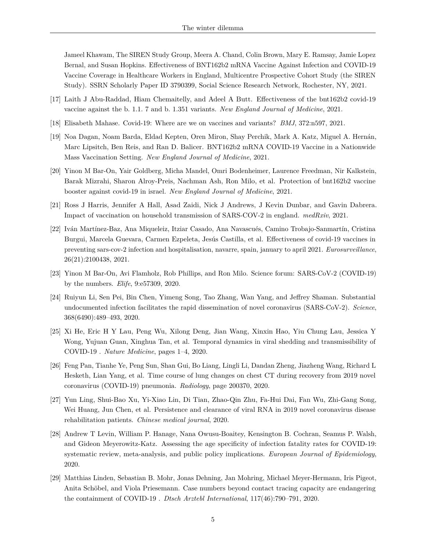Jameel Khawam, The SIREN Study Group, Meera A. Chand, Colin Brown, Mary E. Ramsay, Jamie Lopez Bernal, and Susan Hopkins. Effectiveness of BNT162b2 mRNA Vaccine Against Infection and COVID-19 Vaccine Coverage in Healthcare Workers in England, Multicentre Prospective Cohort Study (the SIREN Study). SSRN Scholarly Paper ID 3790399, Social Science Research Network, Rochester, NY, 2021.

- <span id="page-4-0"></span>[17] Laith J Abu-Raddad, Hiam Chemaitelly, and Adeel A Butt. Effectiveness of the bnt162b2 covid-19 vaccine against the b. 1.1. 7 and b. 1.351 variants. *New England Journal of Medicine*, 2021.
- [18] Elisabeth Mahase. Covid-19: Where are we on vaccines and variants? *BMJ*, 372:n597, 2021.
- [19] Noa Dagan, Noam Barda, Eldad Kepten, Oren Miron, Shay Perchik, Mark A. Katz, Miguel A. Hernán, Marc Lipsitch, Ben Reis, and Ran D. Balicer. BNT162b2 mRNA COVID-19 Vaccine in a Nationwide Mass Vaccination Setting. *New England Journal of Medicine*, 2021.
- <span id="page-4-1"></span>[20] Yinon M Bar-On, Yair Goldberg, Micha Mandel, Omri Bodenheimer, Laurence Freedman, Nir Kalkstein, Barak Mizrahi, Sharon Alroy-Preis, Nachman Ash, Ron Milo, et al. Protection of bnt162b2 vaccine booster against covid-19 in israel. *New England Journal of Medicine*, 2021.
- <span id="page-4-2"></span>[21] Ross J Harris, Jennifer A Hall, Asad Zaidi, Nick J Andrews, J Kevin Dunbar, and Gavin Dabrera. Impact of vaccination on household transmission of SARS-COV-2 in england. *medRxiv*, 2021.
- <span id="page-4-3"></span>[22] Iván Martínez-Baz, Ana Miqueleiz, Itziar Casado, Ana Navascués, Camino Trobajo-Sanmartín, Cristina Burgui, Marcela Guevara, Carmen Ezpeleta, Jesús Castilla, et al. Effectiveness of covid-19 vaccines in preventing sars-cov-2 infection and hospitalisation, navarre, spain, january to april 2021. *Eurosurveillance*, 26(21):2100438, 2021.
- <span id="page-4-4"></span>[23] Yinon M Bar-On, Avi Flamholz, Rob Phillips, and Ron Milo. Science forum: SARS-CoV-2 (COVID-19) by the numbers. *Elife*, 9:e57309, 2020.
- <span id="page-4-5"></span>[24] Ruiyun Li, Sen Pei, Bin Chen, Yimeng Song, Tao Zhang, Wan Yang, and Jeffrey Shaman. Substantial undocumented infection facilitates the rapid dissemination of novel coronavirus (SARS-CoV-2). *Science*, 368(6490):489–493, 2020.
- <span id="page-4-6"></span>[25] Xi He, Eric H Y Lau, Peng Wu, Xilong Deng, Jian Wang, Xinxin Hao, Yiu Chung Lau, Jessica Y Wong, Yujuan Guan, Xinghua Tan, et al. Temporal dynamics in viral shedding and transmissibility of COVID-19 . *Nature Medicine*, pages 1–4, 2020.
- [26] Feng Pan, Tianhe Ye, Peng Sun, Shan Gui, Bo Liang, Lingli Li, Dandan Zheng, Jiazheng Wang, Richard L Hesketh, Lian Yang, et al. Time course of lung changes on chest CT during recovery from 2019 novel coronavirus (COVID-19) pneumonia. *Radiology*, page 200370, 2020.
- <span id="page-4-7"></span>[27] Yun Ling, Shui-Bao Xu, Yi-Xiao Lin, Di Tian, Zhao-Qin Zhu, Fa-Hui Dai, Fan Wu, Zhi-Gang Song, Wei Huang, Jun Chen, et al. Persistence and clearance of viral RNA in 2019 novel coronavirus disease rehabilitation patients. *Chinese medical journal*, 2020.
- <span id="page-4-8"></span>[28] Andrew T Levin, William P. Hanage, Nana Owusu-Boaitey, Kensington B. Cochran, Seamus P. Walsh, and Gideon Meyerowitz-Katz. Assessing the age specificity of infection fatality rates for COVID-19: systematic review, meta-analysis, and public policy implications. *European Journal of Epidemiology*, 2020.
- [29] Matthias Linden, Sebastian B. Mohr, Jonas Dehning, Jan Mohring, Michael Meyer-Hermann, Iris Pigeot, Anita Schöbel, and Viola Priesemann. Case numbers beyond contact tracing capacity are endangering the containment of COVID-19 . *Dtsch Arztebl International*, 117(46):790–791, 2020.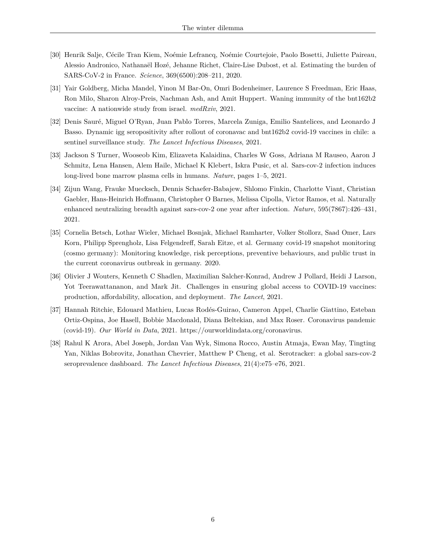- <span id="page-5-0"></span>[30] Henrik Salje, Cécile Tran Kiem, Noémie Lefrancq, Noémie Courtejoie, Paolo Bosetti, Juliette Paireau, Alessio Andronico, Nathanaël Hozé, Jehanne Richet, Claire-Lise Dubost, et al. Estimating the burden of SARS-CoV-2 in France. *Science*, 369(6500):208–211, 2020.
- <span id="page-5-1"></span>[31] Yair Goldberg, Micha Mandel, Yinon M Bar-On, Omri Bodenheimer, Laurence S Freedman, Eric Haas, Ron Milo, Sharon Alroy-Preis, Nachman Ash, and Amit Huppert. Waning immunity of the bnt162b2 vaccine: A nationwide study from israel. *medRxiv*, 2021.
- <span id="page-5-2"></span>[32] Denis Sauré, Miguel O'Ryan, Juan Pablo Torres, Marcela Zuniga, Emilio Santelices, and Leonardo J Basso. Dynamic igg seropositivity after rollout of coronavac and bnt162b2 covid-19 vaccines in chile: a sentinel surveillance study. *The Lancet Infectious Diseases*, 2021.
- <span id="page-5-3"></span>[33] Jackson S Turner, Wooseob Kim, Elizaveta Kalaidina, Charles W Goss, Adriana M Rauseo, Aaron J Schmitz, Lena Hansen, Alem Haile, Michael K Klebert, Iskra Pusic, et al. Sars-cov-2 infection induces long-lived bone marrow plasma cells in humans. *Nature*, pages 1–5, 2021.
- <span id="page-5-4"></span>[34] Zijun Wang, Frauke Muecksch, Dennis Schaefer-Babajew, Shlomo Finkin, Charlotte Viant, Christian Gaebler, Hans-Heinrich Hoffmann, Christopher O Barnes, Melissa Cipolla, Victor Ramos, et al. Naturally enhanced neutralizing breadth against sars-cov-2 one year after infection. *Nature*, 595(7867):426–431, 2021.
- <span id="page-5-5"></span>[35] Cornelia Betsch, Lothar Wieler, Michael Bosnjak, Michael Ramharter, Volker Stollorz, Saad Omer, Lars Korn, Philipp Sprengholz, Lisa Felgendreff, Sarah Eitze, et al. Germany covid-19 snapshot monitoring (cosmo germany): Monitoring knowledge, risk perceptions, preventive behaviours, and public trust in the current coronavirus outbreak in germany. 2020.
- <span id="page-5-6"></span>[36] Olivier J Wouters, Kenneth C Shadlen, Maximilian Salcher-Konrad, Andrew J Pollard, Heidi J Larson, Yot Teerawattananon, and Mark Jit. Challenges in ensuring global access to COVID-19 vaccines: production, affordability, allocation, and deployment. *The Lancet*, 2021.
- <span id="page-5-7"></span>[37] Hannah Ritchie, Edouard Mathieu, Lucas Rodés-Guirao, Cameron Appel, Charlie Giattino, Esteban Ortiz-Ospina, Joe Hasell, Bobbie Macdonald, Diana Beltekian, and Max Roser. Coronavirus pandemic (covid-19). *Our World in Data*, 2021. https://ourworldindata.org/coronavirus.
- <span id="page-5-8"></span>[38] Rahul K Arora, Abel Joseph, Jordan Van Wyk, Simona Rocco, Austin Atmaja, Ewan May, Tingting Yan, Niklas Bobrovitz, Jonathan Chevrier, Matthew P Cheng, et al. Serotracker: a global sars-cov-2 seroprevalence dashboard. *The Lancet Infectious Diseases*, 21(4):e75–e76, 2021.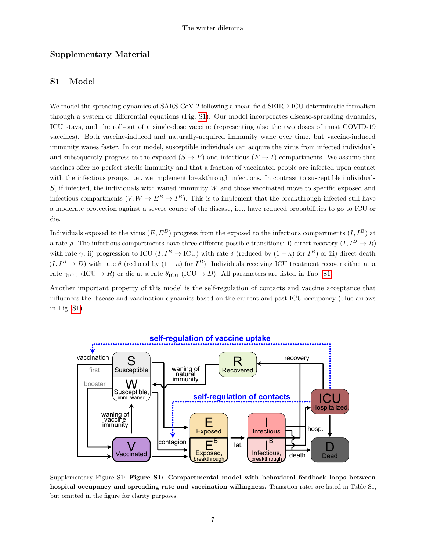# **Supplementary Material**

# **S1 Model**

We model the spreading dynamics of SARS-CoV-2 following a mean-field SEIRD-ICU deterministic formalism through a system of differential equations (Fig. [S1\)](#page-6-0). Our model incorporates disease-spreading dynamics, ICU stays, and the roll-out of a single-dose vaccine (representing also the two doses of most COVID-19 vaccines). Both vaccine-induced and naturally-acquired immunity wane over time, but vaccine-induced immunity wanes faster. In our model, susceptible individuals can acquire the virus from infected individuals and subsequently progress to the exposed  $(S \to E)$  and infectious  $(E \to I)$  compartments. We assume that vaccines offer no perfect sterile immunity and that a fraction of vaccinated people are infected upon contact with the infectious groups, i.e., we implement breakthrough infections. In contrast to susceptible individuals *S*, if infected, the individuals with waned immunity *W* and those vaccinated move to specific exposed and infectious compartments  $(V, W \to E^B \to I^B)$ . This is to implement that the breakthrough infected still have a moderate protection against a severe course of the disease, i.e., have reduced probabilities to go to ICU or die.

Individuals exposed to the virus  $(E, E^B)$  progress from the exposed to the infectious compartments  $(I, I^B)$  at a rate  $\rho$ . The infectious compartments have three different possible transitions: i) direct recovery  $(I, I^B \to R)$ with rate  $\gamma$ , ii) progression to ICU (*I*,  $I^B \to \text{ICU}$ ) with rate  $\delta$  (reduced by  $(1 - \kappa)$  for  $I^B$ ) or iii) direct death  $(I, I^B \to D)$  with rate  $\theta$  (reduced by  $(1 - \kappa)$  for  $I^B$ ). Individuals receiving ICU treatment recover either at a rate  $\gamma_{\text{ICU}}$  (ICU  $\rightarrow$  *R*) or die at a rate  $\theta_{\text{ICU}}$  (ICU  $\rightarrow$  *D*). All parameters are listed in Tab: [S1.](#page-11-0)

Another important property of this model is the self-regulation of contacts and vaccine acceptance that influences the disease and vaccination dynamics based on the current and past ICU occupancy (blue arrows in Fig. [S1\)](#page-6-0).

<span id="page-6-0"></span>

Supplementary Figure S1: **Figure S1: Compartmental model with behavioral feedback loops between hospital occupancy and spreading rate and vaccination willingness.** Transition rates are listed in Table S1, but omitted in the figure for clarity purposes.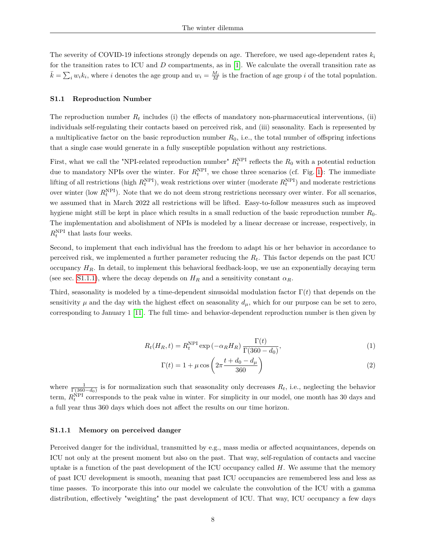The severity of COVID-19 infections strongly depends on age. Therefore, we used age-dependent rates *k<sup>i</sup>* for the transition rates to ICU and *D* compartments, as in [\[1\]](#page-2-0). We calculate the overall transition rate as  $\bar{k} = \sum_i w_i k_i$ , where *i* denotes the age group and  $w_i = \frac{M_i}{M}$  is the fraction of age group *i* of the total population.

#### **S1.1 Reproduction Number**

The reproduction number  $R_t$  includes (i) the effects of mandatory non-pharmaceutical interventions, (ii) individuals self-regulating their contacts based on perceived risk, and (iii) seasonality. Each is represented by a multiplicative factor on the basic reproduction number *R*0, i.e., the total number of offspring infections that a single case would generate in a fully susceptible population without any restrictions.

First, what we call the "NPI-related reproduction number"  $R_t^{\text{NPI}}$  reflects the  $R_0$  with a potential reduction due to mandatory NPIs over the winter. For  $R_t^{\text{NPI}}$ , we chose three scenarios (cf. Fig. [1\)](#page-1-0): The immediate lifting of all restrictions (high  $R_t^{\text{NPI}}$ ), weak restrictions over winter (moderate  $R_t^{\text{NPI}}$ ) and moderate restrictions over winter (low  $R_t^{\text{NPI}}$ ). Note that we do not deem strong restrictions necessary over winter. For all scenarios, we assumed that in March 2022 all restrictions will be lifted. Easy-to-follow measures such as improved hygiene might still be kept in place which results in a small reduction of the basic reproduction number *R*0. The implementation and abolishment of NPIs is modeled by a linear decrease or increase, respectively, in  $R_t^{\text{NPI}}$  that lasts four weeks.

Second, to implement that each individual has the freedom to adapt his or her behavior in accordance to perceived risk, we implemented a further parameter reducing the  $R_t$ . This factor depends on the past ICU occupancy  $H_R$ . In detail, to implement this behavioral feedback-loop, we use an exponentially decaying term (see sec. [S1.1.1\)](#page-7-0), where the decay depends on  $H_R$  and a sensitivity constant  $\alpha_R$ .

Third, seasonality is modeled by a time-dependent sinusoidal modulation factor  $\Gamma(t)$  that depends on the sensitivity  $\mu$  and the day with the highest effect on seasonality  $d_{\mu}$ , which for our purpose can be set to zero, corresponding to January 1 [\[11\]](#page-3-6). The full time- and behavior-dependent reproduction number is then given by

$$
R_t(H_R, t) = R_t^{\text{NPI}} \exp\left(-\alpha_R H_R\right) \frac{\Gamma(t)}{\Gamma(360 - d_0)},\tag{1}
$$

<span id="page-7-2"></span><span id="page-7-1"></span>
$$
\Gamma(t) = 1 + \mu \cos\left(2\pi \frac{t + d_0 - d_\mu}{360}\right) \tag{2}
$$

where  $\frac{1}{\Gamma(360-d_0)}$  is for normalization such that seasonality only decreases  $R_t$ , i.e., neglecting the behavior term,  $R_t^{\text{NPI}}$  corresponds to the peak value in winter. For simplicity in our model, one month has 30 days and a full year thus 360 days which does not affect the results on our time horizon.

#### <span id="page-7-0"></span>**S1.1.1 Memory on perceived danger**

Perceived danger for the individual, transmitted by e.g., mass media or affected acquaintances, depends on ICU not only at the present moment but also on the past. That way, self-regulation of contacts and vaccine uptake is a function of the past development of the ICU occupancy called *H*. We assume that the memory of past ICU development is smooth, meaning that past ICU occupancies are remembered less and less as time passes. To incorporate this into our model we calculate the convolution of the ICU with a gamma distribution, effectively "weighting" the past development of ICU. That way, ICU occupancy a few days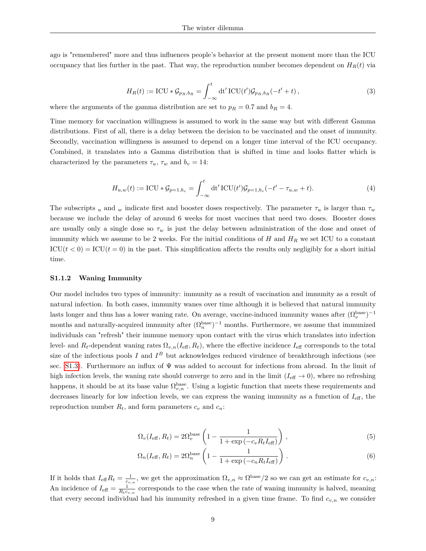ago is "remembered" more and thus influences people's behavior at the present moment more than the ICU occupancy that lies further in the past. That way, the reproduction number becomes dependent on  $H_R(t)$  via

$$
H_R(t) := \text{ICU} * \mathcal{G}_{p_R, b_R} = \int_{-\infty}^t \text{dt}' \, \text{ICU}(t') \mathcal{G}_{p_R, b_R}(-t' + t) \,, \tag{3}
$$

where the arguments of the gamma distribution are set to  $p_R = 0.7$  and  $b_R = 4$ .

Time memory for vaccination willingness is assumed to work in the same way but with different Gamma distributions. First of all, there is a delay between the decision to be vaccinated and the onset of immunity. Secondly, vaccination willingness is assumed to depend on a longer time interval of the ICU occupancy. Combined, it translates into a Gamma distribution that is shifted in time and looks flatter which is characterized by the parameters  $\tau_u$ ,  $\tau_w$  and  $b_v = 14$ :

$$
H_{u,w}(t) := \text{ICU} * \mathcal{G}_{p=1,b_v} = \int_{-\infty}^{t} dt' \text{ICU}(t') \mathcal{G}_{p=1,b_v}(-t' - \tau_{u,w} + t).
$$
 (4)

The subscripts *u* and *w* indicate first and booster doses respectively. The parameter  $\tau_u$  is larger than  $\tau_w$ because we include the delay of around 6 weeks for most vaccines that need two doses. Booster doses are usually only a single dose so *τ<sup>w</sup>* is just the delay between administration of the dose and onset of immunity which we assume to be 2 weeks. For the initial conditions of *H* and *H<sup>R</sup>* we set ICU to a constant  $\text{ICU}(t < 0) = \text{ICU}(t = 0)$  in the past. This simplification affects the results only negligibly for a short initial time.

#### **S1.1.2 Waning Immunity**

Our model includes two types of immunity: immunity as a result of vaccination and immunity as a result of natural infection. In both cases, immunity wanes over time although it is believed that natural immunity lasts longer and thus has a lower waning rate. On average, vaccine-induced immunity wanes after  $(\Omega_v^{\text{base}})^{-1}$ months and naturally-acquired immunity after  $(\Omega_n^{\text{base}})^{-1}$  months. Furthermore, we assume that immunized individuals can "refresh" their immune memory upon contact with the virus which translates into infection level- and  $R_t$ -dependent waning rates  $\Omega_{v,n}(I_{\text{eff}}, R_t)$ , where the effective incidence  $I_{\text{eff}}$  corresponds to the total size of the infectious pools  $I$  and  $I^B$  but acknowledges reduced virulence of breakthrough infections (see sec. [S1.3\)](#page-13-0). Furthermore an influx of  $\Psi$  was added to account for infections from abroad. In the limit of high infection levels, the waning rate should converge to zero and in the limit  $(I_{\text{eff}} \to 0)$ , where no refreshing happens, it should be at its base value  $\Omega_{v,n}^{\text{base}}$ . Using a logistic function that meets these requirements and decreases linearly for low infection levels, we can express the waning immunity as a function of *I*eff, the reproduction number  $R_t$ , and form parameters  $c_v$  and  $c_n$ :

$$
\Omega_v(I_{\text{eff}}, R_t) = 2\Omega_v^{\text{base}} \left(1 - \frac{1}{1 + \exp\left(-c_v R_t I_{\text{eff}}\right)}\right),\tag{5}
$$

$$
\Omega_n(I_{\text{eff}}, R_t) = 2\Omega_n^{\text{base}} \left( 1 - \frac{1}{1 + \exp\left(-c_n R_t I_{\text{eff}}\right)} \right). \tag{6}
$$

If it holds that  $I_{\text{eff}}R_t = \frac{1}{c_{v,n}}$ , we get the approximation  $\Omega_{v,n} \approx \Omega^{\text{base}}/2$  so we can get an estimate for  $c_{v,n}$ : An incidence of  $I_{\text{eff}} = \frac{1}{R_t c_{v,n}}$  corresponds to the case when the rate of waning immunity is halved, meaning that every second individual had his immunity refreshed in a given time frame. To find *cv,n* we consider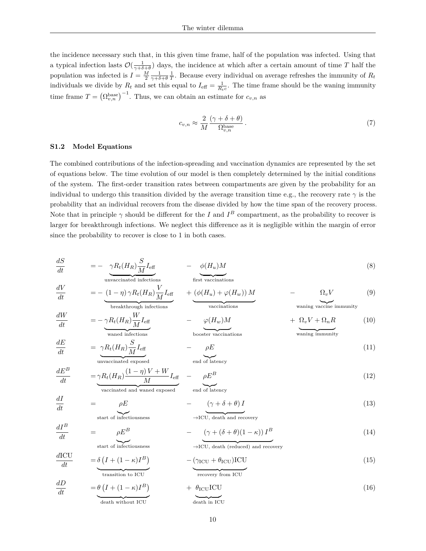the incidence necessary such that, in this given time frame, half of the population was infected. Using that a typical infection lasts  $\mathcal{O}(\frac{1}{\gamma+\delta+\theta})$  days, the incidence at which after a certain amount of time *T* half the population was infected is  $I = \frac{M}{2} \frac{1}{\gamma + \delta + \theta} \frac{1}{T}$ . Because every individual on average refreshes the immunity of  $R_t$ individuals we divide by  $R_t$  and set this equal to  $I_{\text{eff}} = \frac{1}{R_t c}$ . The time frame should be the waning immunity time frame  $T = (\Omega_{v,n}^{\text{base}})^{-1}$ . Thus, we can obtain an estimate for  $c_{v,n}$  as

$$
c_{v,n} \approx \frac{2}{M} \frac{(\gamma + \delta + \theta)}{\Omega_{v,n}^{\text{base}}} \,. \tag{7}
$$

#### <span id="page-9-0"></span>**S1.2 Model Equations**

*dE*

*dI*

 $dI^B$ 

 $\frac{dE}{dt}$  = *γRt*(*H<sub>R</sub>*) $\frac{S}{M}$ 

 $\frac{dI}{dt}$  =  $\rho E^B$ 

The combined contributions of the infection-spreading and vaccination dynamics are represented by the set of equations below. The time evolution of our model is then completely determined by the initial conditions of the system. The first-order transition rates between compartments are given by the probability for an individual to undergo this transition divided by the average transition time e.g., the recovery rate  $\gamma$  is the probability that an individual recovers from the disease divided by how the time span of the recovery process. Note that in principle  $\gamma$  should be different for the *I* and  $I^B$  compartment, as the probability to recover is larger for breakthrough infections. We neglect this difference as it is negligible within the margin of error since the probability to recover is close to 1 in both cases.

$$
\frac{dS}{dt} = -\underbrace{\gamma R_t(H_R) \frac{S}{M} I_{\text{eff}}}_{\text{unvaccinated infections}} - \underbrace{\phi(H_u) M}_{\text{first vaccination}} \tag{8}
$$

$$
\frac{dV}{dt} = -\underbrace{(1-\eta)\gamma R_t(H_R)\frac{V}{M}I_{\text{eff}}}_{\text{breakthrough infections}} + \underbrace{(\phi(H_u) + \varphi(H_w))M}_{\text{vacinations}} - \underbrace{\Omega_v V}_{\text{waning vaccine immunity}} \tag{9}
$$

$$
\frac{dW}{dt} = -\underbrace{\gamma R_t(H_R) \frac{W}{M} I_{\text{eff}}}_{\text{waned infections}} - \underbrace{\varphi(H_w) M}_{\text{booster vacinations}} + \underbrace{\Omega_v V + \Omega_n R}_{\text{waning immunity}} \tag{10}
$$

$$
-\quad \rho E \tag{11}
$$

$$
\frac{dE^B}{dt} = \underbrace{\gamma R_t(H_R)}_{\text{vaccinated and waned exposed}} \underbrace{(1-\eta)V+W}_{\text{M}} I_{\text{eff}} - \underbrace{\rho E^B}_{\text{end of latency}} \tag{12}
$$

$$
\frac{dI}{dt} = \rho E \qquad \qquad - \qquad (\gamma + \delta + \theta) I
$$
\n
$$
\xrightarrow{\text{start of infectiousness}} \qquad - \text{JCU, death and recovery}
$$
\n(13)

## $\rightarrow$ ICU, death and recovery

$$
-\frac{(\gamma + (\delta + \theta)(1 - \kappa))I^B}{\sqrt{ICU, \text{death (reduced) and recovery}}}
$$
(14)

start of infectiousness

 $\frac{\vphantom{1}}{M}I_{\text{eff}}$ 

$$
\frac{dICU}{dt} = \underbrace{\delta \left( I + (1 - \kappa)I^B \right)}_{\text{transition to ICU}} - \underbrace{(\gamma_{ICU} + \theta_{ICU})ICU}_{\text{recovery from ICU}} \tag{15}
$$

$$
\frac{dD}{dt} = \underbrace{\theta \left( I + (1 - \kappa)I^B \right)}_{\text{death without ICU}} + \underbrace{\theta_{\text{ICU}}\text{ICU}}_{\text{death in ICU}}
$$
\n(16)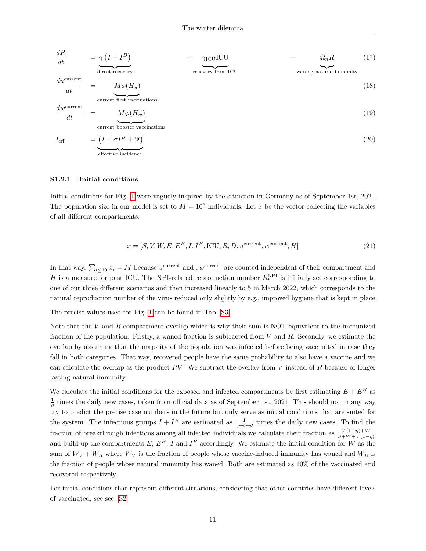$$
\frac{dR}{dt} = \gamma (I + I^B) + \gamma_{\text{ICU}} \qquad + \gamma_{\text{ICU}} \qquad - \qquad \Omega_n R \qquad (17)
$$
\n
$$
\text{energy from ICU} \qquad \text{waning natural immunity}
$$

$$
\frac{du^{\text{current}}}{dt} = M\phi(H_u)
$$
\n
$$
\frac{dw^{\text{current}}}{dt} = \underbrace{M\phi(H_u)}_{\text{current first vaccination}} \tag{18}
$$
\n
$$
\frac{dw^{\text{current}}}{dt} = \underbrace{M\phi(H_w)}_{\text{current bootstrap}} \tag{19}
$$

$$
I_{\text{eff}} = \underbrace{(I + \sigma I^B + \Psi)}_{\text{effective incidence}} \tag{20}
$$

#### <span id="page-10-0"></span>**S1.2.1 Initial conditions**

Initial conditions for Fig. [1](#page-1-0) were vaguely inspired by the situation in Germany as of September 1st, 2021. The population size in our model is set to  $M = 10^6$  individuals. Let x be the vector collecting the variables of all different compartments:

$$
x = [S, V, W, E, E^B, I, I^B, \text{ICU}, R, D, u^{\text{current}}, w^{\text{current}}, H]
$$
\n
$$
(21)
$$

In that way,  $\sum_{i\leq 10} x_i = M$  because  $u^{\text{current}}$  and *, w*<sup>current</sup> are counted independent of their compartment and *H* is a measure for past ICU. The NPI-related reproduction number  $R_t^{\text{NPI}}$  is initially set corresponding to one of our three different scenarios and then increased linearly to 5 in March 2022, which corresponds to the natural reproduction number of the virus reduced only slightly by e.g., improved hygiene that is kept in place.

The precise values used for Fig. [1](#page-1-0) can be found in Tab. [S3.](#page-12-0)

Note that the *V* and *R* compartment overlap which is why their sum is NOT equivalent to the immunized fraction of the population. Firstly, a waned fraction is subtracted from *V* and *R*. Secondly, we estimate the overlap by assuming that the majority of the population was infected before being vaccinated in case they fall in both categories. That way, recovered people have the same probability to also have a vaccine and we can calculate the overlap as the product *RV* . We subtract the overlay from *V* instead of *R* because of longer lasting natural immunity.

We calculate the initial conditions for the exposed and infected compartments by first estimating  $E + E^B$  as  $\frac{1}{\rho}$  times the daily new cases, taken from official data as of September 1st, 2021. This should not in any way try to predict the precise case numbers in the future but only serve as initial conditions that are suited for the system. The infectious groups  $I + I^B$  are estimated as  $\frac{1}{\gamma + \delta + \beta}$  times the daily new cases. To find the fraction of breakthrough infections among all infected individuals we calculate their fraction as  $\frac{V(1-\eta)+W}{S+W+V(1-\eta)}$ and build up the compartments  $E, E^B, I$  and  $I^B$  accordingly. We estimate the initial condition for *W* as the sum of  $W_V + W_R$  where  $W_V$  is the fraction of people whose vaccine-induced immunity has waned and  $W_R$  is the fraction of people whose natural immunity has waned. Both are estimated as 10% of the vaccinated and recovered respectively.

For initial conditions that represent different situations, considering that other countries have different levels of vaccinated, see sec. [S2](#page-16-0)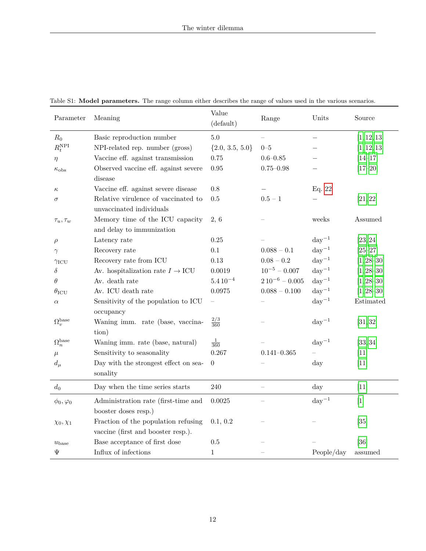| Parameter                  | Meaning                                             | Value<br>(default)  | Range                  | Units               | Source         |
|----------------------------|-----------------------------------------------------|---------------------|------------------------|---------------------|----------------|
| $R_0$                      | Basic reproduction number                           | $5.0\,$             |                        |                     | [1, 12, 13]    |
| $R_t^{\rm NPI}$            | NPI-related rep. number (gross)                     | $\{2.0, 3.5, 5.0\}$ | $0 - 5$                |                     | [1, 12, 13]    |
| $\eta$                     | Vaccine eff. against transmission                   | 0.75                | $0.6 - 0.85$           |                     | $[14 - 17]$    |
| $\kappa_{\rm obs}$         | Observed vaccine eff. against severe                | 0.95                | $0.75 - 0.98$          |                     | $[17 - 20]$    |
|                            | disease                                             |                     |                        |                     |                |
| $\kappa$                   | Vaccine eff. against severe disease                 | 0.8                 |                        | Eq. 22              |                |
| $\sigma$                   | Relative virulence of vaccinated to                 | 0.5                 | $0.5 - 1$              |                     | [21, 22]       |
|                            | unvaccinated individuals                            |                     |                        |                     |                |
| $\tau_u, \tau_w$           | Memory time of the ICU capacity                     | 2,6                 |                        | weeks               | Assumed        |
|                            | and delay to immunization                           |                     |                        |                     |                |
| $\rho$                     | Latency rate                                        | 0.25                |                        | $\mathrm{day}^{-1}$ | [23, 24]       |
| $\gamma$                   | Recovery rate                                       | 0.1                 | $0.088 - 0.1$          | $day^{-1}$          | $[25 - 27]$    |
| $\gamma_{\rm{ICU}}$        | Recovery rate from ICU                              | 0.13                | $0.08 - 0.2$           | $day^{-1}$          | $[1, 28 - 30]$ |
| $\delta$                   | Av. hospitalization rate $I \rightarrow \text{ICU}$ | 0.0019              | $10^{-5} - 0.007$      | $\rm day^{-1}$      | $[1, 28 - 30]$ |
| $\theta$                   | Av. death rate                                      | $5.410^{-4}$        | $2\,10^{-6}$ – $0.005$ | $day^{-1}$          | $[1, 28 - 30]$ |
| $\theta_{\rm ICU}$         | Av. ICU death rate                                  | 0.0975              | $0.088 - 0.100$        | $\mathrm{day}^{-1}$ | $[1, 28 - 30]$ |
| $\alpha$                   | Sensitivity of the population to ICU                |                     |                        | $day^{-1}$          | Estimated      |
|                            | occupancy                                           |                     |                        |                     |                |
| $\Omega_v^{\text{base}}$   | Waning imm. rate (base, vaccina-                    | $\frac{2/3}{360}$   |                        | $\mathrm{day}^{-1}$ | [31, 32]       |
|                            | tion)                                               |                     |                        |                     |                |
| $\Omega_n^{\mathrm{base}}$ | Waning imm. rate (base, natural)                    | $\frac{1}{360}$     |                        | $\mathrm{day}^{-1}$ | [33, 34]       |
| $\mu$                      | Sensitivity to seasonality                          | 0.267               | $0.141 - 0.365$        |                     | $[11]$         |
| $d_{\mu}$                  | Day with the strongest effect on sea-               | $\boldsymbol{0}$    |                        | day                 | $[11]$         |
|                            | sonality                                            |                     |                        |                     |                |
| $d_0$                      | Day when the time series starts                     | $240\,$             |                        | day                 | [11]           |
| $\phi_0, \varphi_0$        | Administration rate (first-time and                 | 0.0025              |                        | $day^{-1}$          | $[1]$          |
|                            | booster doses resp.)                                |                     |                        |                     |                |
| $\chi_0, \chi_1$           | Fraction of the population refusing                 | 0.1, 0.2            |                        |                     | $[35]$         |
|                            | vaccine (first and booster resp.).                  |                     |                        |                     |                |
| $u_{\text{base}}$          | Base acceptance of first dose                       | 0.5                 |                        |                     | [36]           |
| Ψ                          | Influx of infections                                | $1\,$               |                        | People/day          | assumed        |

<span id="page-11-0"></span>Table S1: **Model parameters.** The range column either describes the range of values used in the various scenarios.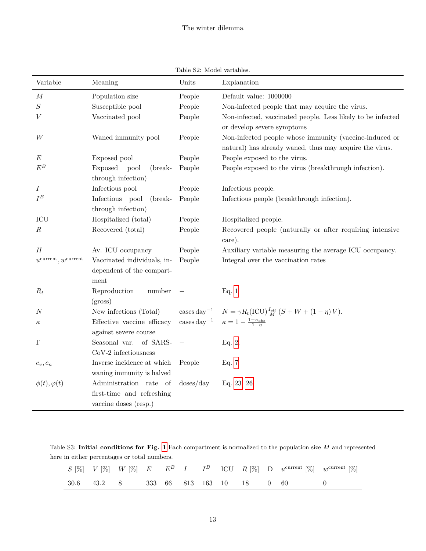| Variable                                 | Meaning                     | Units                      | Explanation                                                             |
|------------------------------------------|-----------------------------|----------------------------|-------------------------------------------------------------------------|
| $\boldsymbol{M}$                         | Population size             | People                     | Default value: 1000000                                                  |
| $\cal S$                                 | Susceptible pool            | People                     | Non-infected people that may acquire the virus.                         |
| V                                        | Vaccinated pool             | People                     | Non-infected, vaccinated people. Less likely to be infected             |
|                                          |                             |                            | or develop severe symptoms                                              |
| W                                        | Waned immunity pool         | People                     | Non-infected people whose immunity (vaccine-induced or                  |
|                                          |                             |                            | natural) has already waned, thus may acquire the virus.                 |
| $\boldsymbol{E}$                         | Exposed pool                | People                     | People exposed to the virus.                                            |
| $E^B$                                    | Exposed<br>pool<br>(break-  | People                     | People exposed to the virus (breakthrough infection).                   |
|                                          | through infection)          |                            |                                                                         |
| $\boldsymbol{I}$                         | Infectious pool             | People                     | Infectious people.                                                      |
| ${\cal I}^B$                             | Infectious pool<br>(break-  | People                     | Infectious people (breakthrough infection).                             |
|                                          | through infection)          |                            |                                                                         |
| ICU                                      | Hospitalized (total)        | People                     | Hospitalized people.                                                    |
| $\boldsymbol{R}$                         | Recovered (total)           | People                     | Recovered people (naturally or after requiring intensive                |
|                                          |                             |                            | care).                                                                  |
| $\boldsymbol{H}$                         | Av. ICU occupancy           | People                     | Auxiliary variable measuring the average ICU occupancy.                 |
| $u^{\text{current}}, w^{\text{current}}$ | Vaccinated individuals, in- | People                     | Integral over the vaccination rates                                     |
|                                          | dependent of the compart-   |                            |                                                                         |
|                                          | ment                        |                            |                                                                         |
| $R_t$                                    | Reproduction<br>number      |                            | Eq. 1                                                                   |
|                                          | (gross)                     |                            |                                                                         |
| $_{N}$                                   | New infections (Total)      | $\cases$ day <sup>-1</sup> | $N = \gamma R_t (ICU) \frac{I_{\text{eff}}}{M} (S + W + (1 - \eta) V).$ |
| $\kappa$                                 | Effective vaccine efficacy  | $\rm cases\,day^{-1}$      | $\kappa = 1 - \frac{1 - \kappa_{\rm obs}}{1 - n}$                       |
|                                          | against severe course       |                            |                                                                         |
| $\Gamma$                                 | of SARS-<br>Seasonal var.   |                            | Eq. 2.                                                                  |
|                                          | CoV-2 infectiousness        |                            |                                                                         |
| $c_v, c_n$                               | Inverse incidence at which  | People                     | Eq. 7                                                                   |
|                                          | waning immunity is halved   |                            |                                                                         |
| $\phi(t), \varphi(t)$                    | Administration rate of      | doses/day                  | Eq. 23, 26                                                              |
|                                          | first-time and refreshing   |                            |                                                                         |
|                                          | vaccine doses (resp.)       |                            |                                                                         |

Table S2: Model variables.

<span id="page-12-0"></span>Table S3: **Initial conditions for Fig. [1](#page-1-0)** Each compartment is normalized to the population size *M* and represented here in either percentages or total numbers.

|  |                                       |  |  |  |  | $S[\%]$ $V[\%]$ $W[\%]$ $E$ $E^B$ $I$ $I^B$ ICU $R[\%]$ D $u^{\text{current}}[\%]$ $w^{\text{current}}[\%]$ |
|--|---------------------------------------|--|--|--|--|-------------------------------------------------------------------------------------------------------------|
|  | 30.6 43.2 8 333 66 813 163 10 18 0 60 |  |  |  |  |                                                                                                             |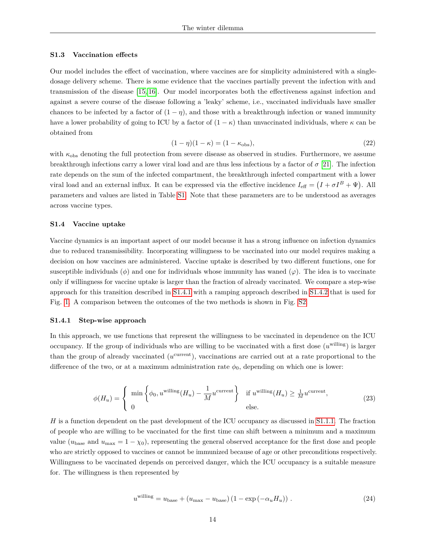#### <span id="page-13-0"></span>**S1.3 Vaccination effects**

Our model includes the effect of vaccination, where vaccines are for simplicity administered with a singledosage delivery scheme. There is some evidence that the vaccines partially prevent the infection with and transmission of the disease [\[15,](#page-3-10) [16\]](#page-3-11). Our model incorporates both the effectiveness against infection and against a severe course of the disease following a 'leaky' scheme, i.e., vaccinated individuals have smaller chances to be infected by a factor of  $(1 - \eta)$ , and those with a breakthrough infection or waned immunity have a lower probability of going to ICU by a factor of  $(1 - \kappa)$  than unvaccinated individuals, where  $\kappa$  can be obtained from

$$
(1 - \eta)(1 - \kappa) = (1 - \kappa_{\text{obs}}),\tag{22}
$$

<span id="page-13-1"></span>with  $\kappa_{obs}$  denoting the full protection from severe disease as observed in studies. Furthermore, we assume breakthrough infections carry a lower viral load and are thus less infectious by a factor of *σ* [\[21\]](#page-4-2). The infection rate depends on the sum of the infected compartment, the breakthrough infected compartment with a lower viral load and an external influx. It can be expressed via the effective incidence  $I_{\text{eff}} = (I + \sigma I^B + \Psi)$ . All parameters and values are listed in Table [S1.](#page-11-0) Note that these parameters are to be understood as averages across vaccine types.

#### **S1.4 Vaccine uptake**

Vaccine dynamics is an important aspect of our model because it has a strong influence on infection dynamics due to reduced transmissibility. Incorporating willingness to be vaccinated into our model requires making a decision on how vaccines are administered. Vaccine uptake is described by two different functions, one for susceptible individuals ( $\phi$ ) and one for individuals whose immunity has waned ( $\varphi$ ). The idea is to vaccinate only if willingness for vaccine uptake is larger than the fraction of already vaccinated. We compare a step-wise approach for this transition described in [S1.4.1](#page-13-3) with a ramping approach described in [S1.4.2](#page-14-1) that is used for Fig. [1.](#page-1-0) A comparison between the outcomes of the two methods is shown in Fig. [S2.](#page-15-0)

#### <span id="page-13-3"></span>**S1.4.1 Step-wise approach**

In this approach, we use functions that represent the willingness to be vaccinated in dependence on the ICU occupancy. If the group of individuals who are willing to be vaccinated with a first dose (*u* willing) is larger than the group of already vaccinated  $(u^{\text{current}})$ , vaccinations are carried out at a rate proportional to the difference of the two, or at a maximum administration rate  $\phi_0$ , depending on which one is lower:

$$
\phi(H_u) = \begin{cases} \min \left\{ \phi_0, u^{\text{willing}}(H_u) - \frac{1}{M} u^{\text{current}} \right\} & \text{if } u^{\text{willing}}(H_u) \ge \frac{1}{M} u^{\text{current}}, \\ 0 & \text{else.} \end{cases}
$$
(23)

*H* is a function dependent on the past development of the ICU occupancy as discussed in [S1.1.1.](#page-7-0) The fraction of people who are willing to be vaccinated for the first time can shift between a minimum and a maximum value  $(u_{base}$  and  $u_{max} = 1 - \chi_0$ , representing the general observed acceptance for the first dose and people who are strictly opposed to vaccines or cannot be immunized because of age or other preconditions respectively. Willingness to be vaccinated depends on perceived danger, which the ICU occupancy is a suitable measure for. The willingness is then represented by

<span id="page-13-2"></span>
$$
u^{\text{willing}} = u_{\text{base}} + (u_{\text{max}} - u_{\text{base}})(1 - \exp(-\alpha_u H_u)). \qquad (24)
$$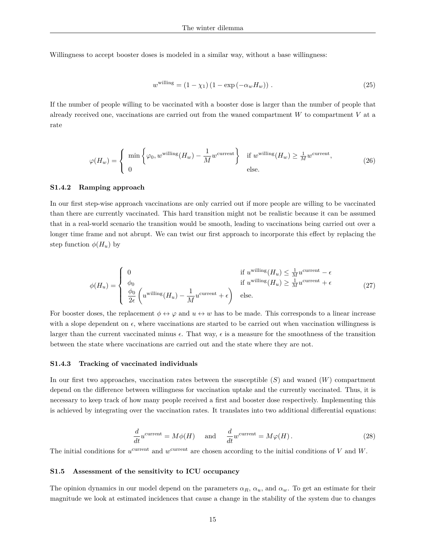Willingness to accept booster doses is modeled in a similar way, without a base willingness:

<span id="page-14-0"></span>
$$
w^{\text{willing}} = (1 - \chi_1)(1 - \exp(-\alpha_w H_w)). \tag{25}
$$

If the number of people willing to be vaccinated with a booster dose is larger than the number of people that already received one, vaccinations are carried out from the waned compartment  $W$  to compartment  $V$  at a rate

$$
\varphi(H_w) = \begin{cases} \min \left\{ \varphi_0, w^{\text{willing}}(H_w) - \frac{1}{M} w^{\text{current}} \right\} & \text{if } w^{\text{willing}}(H_w) \ge \frac{1}{M} w^{\text{current}}, \\ 0 & \text{else.} \end{cases} \tag{26}
$$

#### <span id="page-14-1"></span>**S1.4.2 Ramping approach**

In our first step-wise approach vaccinations are only carried out if more people are willing to be vaccinated than there are currently vaccinated. This hard transition might not be realistic because it can be assumed that in a real-world scenario the transition would be smooth, leading to vaccinations being carried out over a longer time frame and not abrupt. We can twist our first approach to incorporate this effect by replacing the step function  $\phi(H_u)$  by

$$
\phi(H_u) = \begin{cases}\n0 & \text{if } u^{\text{willing}}(H_u) \leq \frac{1}{M} u^{\text{current}} - \epsilon \\
\phi_0 & \text{if } u^{\text{willing}}(H_u) \geq \frac{1}{M} u^{\text{current}} + \epsilon \\
\frac{\phi_0}{2\epsilon} \left( u^{\text{willing}}(H_u) - \frac{1}{M} u^{\text{current}} + \epsilon \right) & \text{else.} \n\end{cases} \tag{27}
$$

For booster doses, the replacement  $\phi \leftrightarrow \varphi$  and  $u \leftrightarrow w$  has to be made. This corresponds to a linear increase with a slope dependent on  $\epsilon$ , where vaccinations are started to be carried out when vaccination willingness is larger than the current vaccinated minus  $\epsilon$ . That way,  $\epsilon$  is a measure for the smoothness of the transition between the state where vaccinations are carried out and the state where they are not.

#### **S1.4.3 Tracking of vaccinated individuals**

In our first two approaches, vaccination rates between the susceptible (*S*) and waned (*W*) compartment depend on the difference between willingness for vaccination uptake and the currently vaccinated. Thus, it is necessary to keep track of how many people received a first and booster dose respectively. Implementing this is achieved by integrating over the vaccination rates. It translates into two additional differential equations:

$$
\frac{d}{dt}u^{\text{current}} = M\phi(H) \quad \text{and} \quad \frac{d}{dt}w^{\text{current}} = M\varphi(H). \tag{28}
$$

The initial conditions for  $u^{\text{current}}$  and  $w^{\text{current}}$  are chosen according to the initial conditions of *V* and *W*.

#### **S1.5 Assessment of the sensitivity to ICU occupancy**

The opinion dynamics in our model depend on the parameters  $\alpha_R$ ,  $\alpha_u$ , and  $\alpha_w$ . To get an estimate for their magnitude we look at estimated incidences that cause a change in the stability of the system due to changes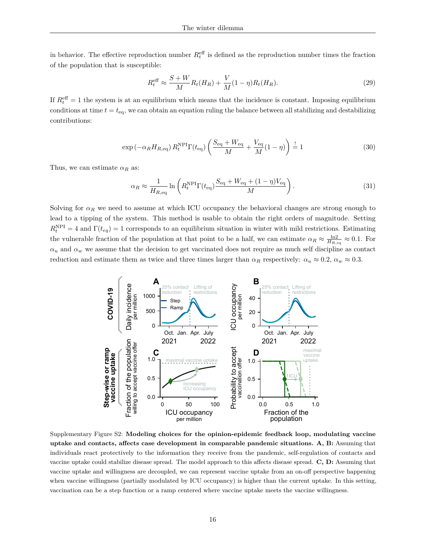in behavior. The effective reproduction number  $R_t^{\text{eff}}$  is defined as the reproduction number times the fraction of the population that is susceptible:

$$
R_t^{\text{eff}} \approx \frac{S+W}{M} R_t(H_R) + \frac{V}{M}(1-\eta)R_t(H_R). \tag{29}
$$

If  $R_t^{\text{eff}} = 1$  the system is at an equilibrium which means that the incidence is constant. Imposing equilibrium conditions at time  $t = t_{eq}$ , we can obtain an equation ruling the balance between all stabilizing and destabilizing contributions:

$$
\exp\left(-\alpha_R H_{R,\text{eq}}\right) R_t^{\text{NPI}} \Gamma(t_{\text{eq}}) \left(\frac{S_{\text{eq}} + W_{\text{eq}}}{M} + \frac{V_{\text{eq}}}{M} (1 - \eta)\right) \stackrel{!}{=} 1\tag{30}
$$

Thus, we can estimate  $\alpha_R$  as:

$$
\alpha_R \approx \frac{1}{H_{R,\text{eq}}} \ln \left( R_t^{\text{NPI}} \Gamma(t_{\text{eq}}) \frac{S_{\text{eq}} + W_{\text{eq}} + (1 - \eta) V_{\text{eq}}}{M} \right). \tag{31}
$$

Solving for  $\alpha_R$  we need to assume at which ICU occupancy the behavioral changes are strong enough to lead to a tipping of the system. This method is usable to obtain the right orders of magnitude. Setting  $R_t^{\text{NPI}} = 4$  and  $\Gamma(t_{eq}) = 1$  corresponds to an equilibrium situation in winter with mild restrictions. Estimating the vulnerable fraction of the population at that point to be a half, we can estimate  $\alpha_R \approx \frac{\ln 2}{H_{R,\text{eq}}} \approx 0.1$ . For  $\alpha$ <sup>*u*</sup> and  $\alpha$ <sup>*w*</sup> we assume that the decision to get vaccinated does not require as much self discipline as contact reduction and estimate them as twice and three times larger than  $\alpha_R$  respectively:  $\alpha_u \approx 0.2$ ,  $\alpha_w \approx 0.3$ .

<span id="page-15-0"></span>

Supplementary Figure S2: **Modeling choices for the opinion-epidemic feedback loop, modulating vaccine uptake and contacts, affects case development in comparable pandemic situations. A, B:** Assuming that individuals react protectively to the information they receive from the pandemic, self-regulation of contacts and vaccine uptake could stabilize disease spread. The model approach to this affects disease spread. **C, D:** Assuming that vaccine uptake and willingness are decoupled, we can represent vaccine uptake from an on-off perspective happening when vaccine willingness (partially modulated by ICU occupancy) is higher than the current uptake. In this setting, vaccination can be a step function or a ramp centered where vaccine uptake meets the vaccine willingness.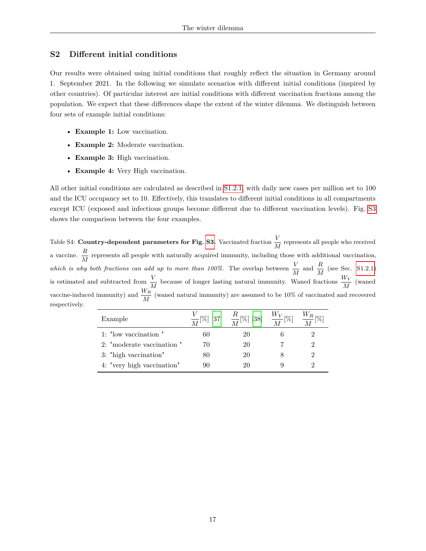# <span id="page-16-0"></span>**S2 Different initial conditions**

Our results were obtained using initial conditions that roughly reflect the situation in Germany around 1. September 2021. In the following we simulate scenarios with different initial conditions (inspired by other countries). Of particular interest are initial conditions with different vaccination fractions among the population. We expect that these differences shape the extent of the winter dilemma. We distinguish between four sets of example initial conditions:

- **Example 1:** Low vaccination.
- **Example 2:** Moderate vaccination.
- **Example 3:** High vaccination.
- **Example 4:** Very High vaccination.

All other initial conditions are calculated as described in [S1.2.1,](#page-10-0) with daily new cases per million set to 100 and the ICU occupancy set to 10. Effectively, this translates to different initial conditions in all compartments except ICU (exposed and infectious groups become different due to different vaccination levels). Fig. [S3](#page-17-0) shows the comparison between the four examples.

Table S4: **Country-dependent parameters for Fig. [S3.](#page-17-0)** Vaccinated fraction  $\frac{V}{M}$  represents all people who received a vaccine.  $\frac{R}{M}$  represents all people with naturally acquired immunity, including those with additional vaccination, *which is why both fractions can add up to more than 100%.* The overlap between  $\frac{V}{M}$  and  $\frac{R}{M}$  (see Sec. [S1.2.1\)](#page-10-0) is estimated and subtracted from  $\frac{V}{M}$  because of longer lasting natural immunity. Waned fractions  $\frac{W_V}{M}$  (waned vaccine-induced immunity) and  $\frac{W_R}{M}$  (waned natural immunity) are assumed to be 10% of vaccinated and recovered respectively.

| Example                    |    | $\frac{V}{M}$ [%] [37] $\frac{R}{M}$ [%] [38] $\frac{W_V}{M}$ [%] $\frac{W_R}{M}$ [%] |  |
|----------------------------|----|---------------------------------------------------------------------------------------|--|
| 1: "low vaccination"       | 60 | 20                                                                                    |  |
| 2: "moderate vaccination"  | 70 | 20                                                                                    |  |
| 3: "high vaccination"      | 80 | 20                                                                                    |  |
| 4: "very high vaccination" | 90 | 20                                                                                    |  |